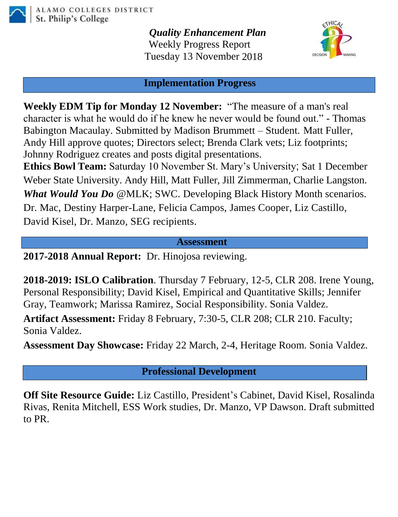

*Quality Enhancement Plan* Weekly Progress Report Tuesday 13 November 2018



#### **Implementation Progress**

**Weekly EDM Tip for Monday 12 November:** "The measure of a man's real character is what he would do if he knew he never would be found out." - Thomas Babington Macaulay. Submitted by Madison Brummett – Student. Matt Fuller, Andy Hill approve quotes; Directors select; Brenda Clark vets; Liz footprints; Johnny Rodriguez creates and posts digital presentations.

**Ethics Bowl Team:** Saturday 10 November St. Mary's University; Sat 1 December Weber State University. Andy Hill, Matt Fuller, Jill Zimmerman, Charlie Langston. *What Would You Do* @MLK; SWC. Developing Black History Month scenarios. Dr. Mac, Destiny Harper-Lane, Felicia Campos, James Cooper, Liz Castillo, David Kisel, Dr. Manzo, SEG recipients.

#### **Assessment**

**2017-2018 Annual Report:** Dr. Hinojosa reviewing.

**2018-2019: ISLO Calibration**. Thursday 7 February, 12-5, CLR 208. Irene Young, Personal Responsibility; David Kisel, Empirical and Quantitative Skills; Jennifer Gray, Teamwork; Marissa Ramirez, Social Responsibility. Sonia Valdez.

**Artifact Assessment:** Friday 8 February, 7:30-5, CLR 208; CLR 210. Faculty; Sonia Valdez.

**Assessment Day Showcase:** Friday 22 March, 2-4, Heritage Room. Sonia Valdez.

**Professional Development**

**Off Site Resource Guide:** Liz Castillo, President's Cabinet, David Kisel, Rosalinda Rivas, Renita Mitchell, ESS Work studies, Dr. Manzo, VP Dawson. Draft submitted to PR.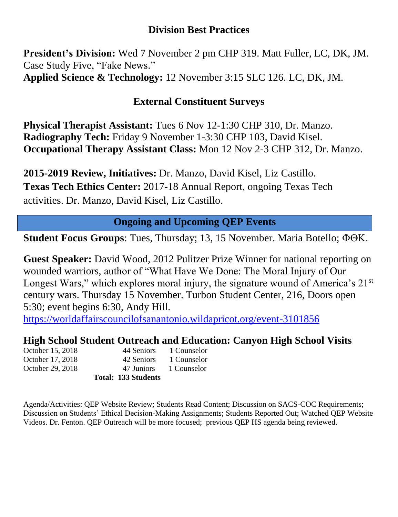## **Division Best Practices**

**President's Division:** Wed 7 November 2 pm CHP 319. Matt Fuller, LC, DK, JM. Case Study Five, "Fake News." **Applied Science & Technology:** 12 November 3:15 SLC 126. LC, DK, JM.

# **External Constituent Surveys**

**Physical Therapist Assistant:** Tues 6 Nov 12-1:30 CHP 310, Dr. Manzo. **Radiography Tech:** Friday 9 November 1-3:30 CHP 103, David Kisel. **Occupational Therapy Assistant Class:** Mon 12 Nov 2-3 CHP 312, Dr. Manzo.

**2015-2019 Review, Initiatives:** Dr. Manzo, David Kisel, Liz Castillo. **Texas Tech Ethics Center:** 2017-18 Annual Report, ongoing Texas Tech activities. Dr. Manzo, David Kisel, Liz Castillo.

# **Ongoing and Upcoming QEP Events**

**Student Focus Groups:** Tues, Thursday; 13, 15 November. Maria Botello;  $\Phi \Theta K$ .

**Guest Speaker:** David Wood, 2012 Pulitzer Prize Winner for national reporting on wounded warriors, author of "What Have We Done: The Moral Injury of Our Longest Wars," which explores moral injury, the signature wound of America's  $21<sup>st</sup>$ century wars. Thursday 15 November. Turbon Student Center, 216, Doors open 5:30; event begins 6:30, Andy Hill.

[https://worldaffairscouncilofsanantonio.wildapricot.org/event-3101856](https://mail.alamo.edu/owa/redir.aspx?C=qLNcFR2lSsAuSwC7SsFI-oZP_VEBpV90TVyUpYxEyzt-2yO_AkTWCA..&URL=https%3a%2f%2fworldaffairscouncilofsanantonio.wildapricot.org%2fevent-3101856)

## **High School Student Outreach and Education: Canyon High School Visits**

**Total: 133 Students**

October 15, 2018 44 Seniors 1 Counselor October 17, 2018 42 Seniors 1 Counselor October 29, 2018 47 Juniors 1 Counselor

Agenda/Activities: QEP Website Review; Students Read Content; Discussion on SACS-COC Requirements; Discussion on Students' Ethical Decision-Making Assignments; Students Reported Out; Watched QEP Website Videos. Dr. Fenton. QEP Outreach will be more focused; previous QEP HS agenda being reviewed.